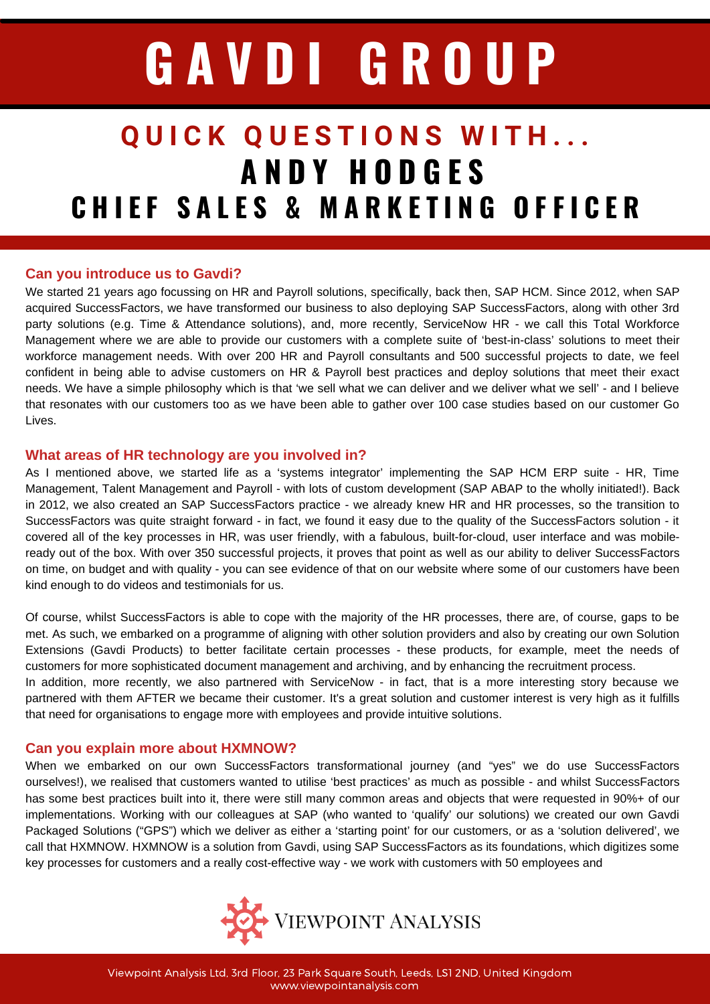# **G A V D I G R O U P**

## **Q U I C K Q U E S T I O N S W I T H . . . A N D Y H O D G E S** CHIEF SALES & MARKETING OFFICER

### **Can you introduce us to Gavdi?**

We started 21 years ago focussing on HR and Payroll solutions, specifically, back then, SAP HCM. Since 2012, when SAP acquired SuccessFactors, we have transformed our business to also deploying SAP SuccessFactors, along with other 3rd party solutions (e.g. Time & Attendance solutions), and, more recently, ServiceNow HR - we call this Total Workforce Management where we are able to provide our customers with a complete suite of 'best-in-class' solutions to meet their workforce management needs. With over 200 HR and Payroll consultants and 500 successful projects to date, we feel confident in being able to advise customers on HR & Payroll best practices and deploy solutions that meet their exact needs. We have a simple philosophy which is that 'we sell what we can deliver and we deliver what we sell' - and I believe that resonates with our customers too as we have been able to gather over 100 case studies based on our customer Go Lives.

### **What areas of HR technology are you involved in?**

As I mentioned above, we started life as a 'systems integrator' implementing the SAP HCM ERP suite - HR, Time Management, Talent Management and Payroll - with lots of custom development (SAP ABAP to the wholly initiated!). Back in 2012, we also created an SAP SuccessFactors practice - we already knew HR and HR processes, so the transition to SuccessFactors was quite straight forward - in fact, we found it easy due to the quality of the SuccessFactors solution - it covered all of the key processes in HR, was user friendly, with a fabulous, built-for-cloud, user interface and was mobileready out of the box. With over 350 successful projects, it proves that point as well as our ability to deliver SuccessFactors on time, on budget and with quality - you can see evidence of that on our website where some of our customers have been kind enough to do videos and testimonials for us.

Of course, whilst SuccessFactors is able to cope with the majority of the HR processes, there are, of course, gaps to be met. As such, we embarked on a programme of aligning with other solution providers and also by creating our own Solution Extensions (Gavdi Products) to better facilitate certain processes - these products, for example, meet the needs of customers for more sophisticated document management and archiving, and by enhancing the recruitment process.

In addition, more recently, we also partnered with ServiceNow - in fact, that is a more interesting story because we partnered with them AFTER we became their customer. It's a great solution and customer interest is very high as it fulfills that need for organisations to engage more with employees and provide intuitive solutions.

## **Can you explain more about HXMNOW?**

When we embarked on our own SuccessFactors transformational journey (and "yes" we do use SuccessFactors ourselves!), we realised that customers wanted to utilise 'best practices' as much as possible - and whilst SuccessFactors has some best practices built into it, there were still many common areas and objects that were requested in 90%+ of our implementations. Working with our colleagues at SAP (who wanted to 'qualify' our solutions) we created our own Gavdi Packaged Solutions ("GPS") which we deliver as either a 'starting point' for our customers, or as a 'solution delivered', we call that HXMNOW. HXMNOW is a solution from Gavdi, using SAP SuccessFactors as its foundations, which digitizes some key processes for customers and a really cost-effective way - we work with customers with 50 employees and